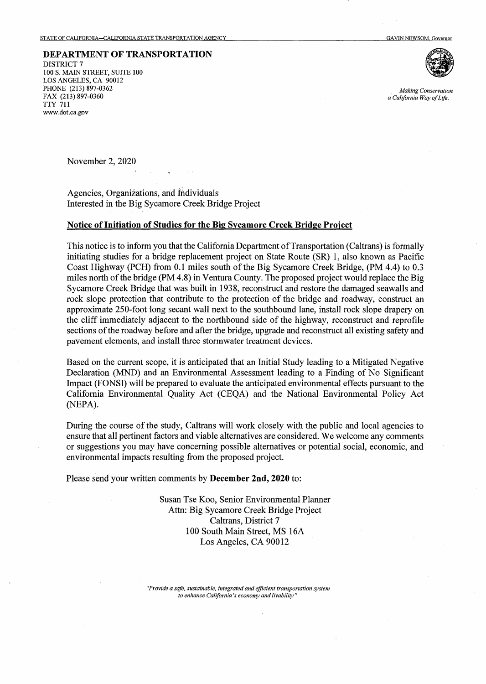## **DEPARTMENT OF TRANSPORTATION**

DISTRICT? 100 S. MAIN STREET, SUITE 100 LOS ANGELES, CA 90012 PHONE (213) 897-0362 FAX (213) 897-0360 TTY 711 www.dot.ca.gov



*Making Conservation a California Way of Life.* 

November 2, 2020

Agencies, Organizations, and Individuals Interested in the Big Sycamore Creek Bridge Project

## **Notice of Initiation of Studies for the Big Sycamore Creek Bridge Project**

This notice is to inform you that the California Department of Transportation (Caltrans) is formally initiating studies for a bridge replacement project on State Route (SR) 1, also known as Pacific Coast Highway (PCH) from 0.1 miles south of the Big Sycamore Creek Bridge, (PM 4.4) to 0.3 miles north of the bridge (PM 4.8) in Ventura County. The proposed project would replace the Big Sycamore Creek Bridge that was built in 1938, reconstruct and restore the damaged seawalls and rock slope protection that contribute to the protection of the bridge and roadway, construct an approximate 250-foot long secant wall next to the southbound lane, install rock slope drapery on the cliff immediately adjacent to the northbound side of the highway, reconstruct and reprofile sections of the roadway before and after the bridge, upgrade and reconstruct all existing safety and pavement elements, and install three stormwater treatment devices.

Based on the current scope, it is anticipated that an Initial Study leading to a Mitigated Negative Declaration (MND) and an Environmental Assessment leading to a Finding of No Significant Impact (FONSI) will be prepared to evaluate the anticipated environmental effects pursuant to the California Environmental Quality Act (CEQA) and the National Environmental Policy Act (NEPA).

During the course of the study, Caltrans will work closely with the public and local agencies to ensure that all pertinent factors and viable alternatives are considered. We welcome any comments or suggestions you may have concerning possible alternatives or potential social, economic, and environmental impacts resulting from the proposed project.

Please send your written comments by **December 2nd, 2020** to:

Susan Tse Koo, Senior Environmental Planner Attn: Big Sycamore Creek Bridge Project Caltrans, District 7 100 South Main Street, MS 16A Los Angeles, CA 90012

*"Provide a safe, sustainable, integrated and efficient transportation system to enhance California's economy and livability"*